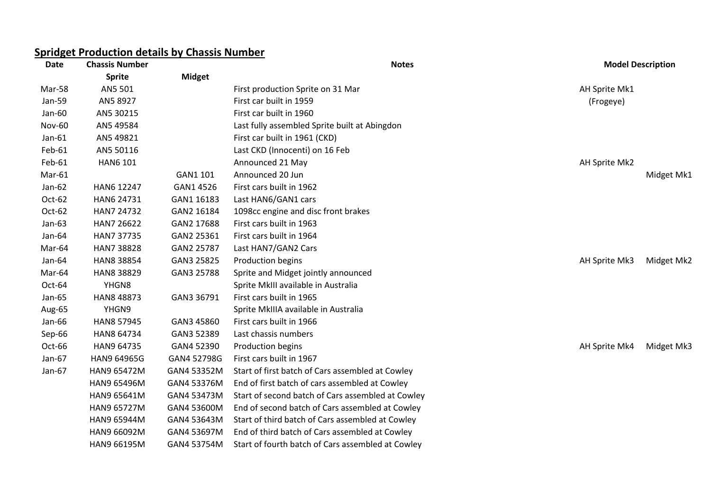## **Spridget Production details by Chassis Number**

| Date          | <b>Chassis Number</b> | <b>Notes</b>  |                                                   |               | <b>Model Description</b> |  |
|---------------|-----------------------|---------------|---------------------------------------------------|---------------|--------------------------|--|
|               | <b>Sprite</b>         | <b>Midget</b> |                                                   |               |                          |  |
| Mar-58        | AN5 501               |               | First production Sprite on 31 Mar                 | AH Sprite Mk1 |                          |  |
| Jan-59        | AN5 8927              |               | First car built in 1959                           | (Frogeye)     |                          |  |
| Jan-60        | AN5 30215             |               | First car built in 1960                           |               |                          |  |
| <b>Nov-60</b> | AN5 49584             |               | Last fully assembled Sprite built at Abingdon     |               |                          |  |
| $Jan-61$      | AN5 49821             |               | First car built in 1961 (CKD)                     |               |                          |  |
| Feb-61        | AN5 50116             |               | Last CKD (Innocenti) on 16 Feb                    |               |                          |  |
| Feb-61        | <b>HAN6 101</b>       |               | Announced 21 May                                  | AH Sprite Mk2 |                          |  |
| Mar-61        |                       | GAN1 101      | Announced 20 Jun                                  |               | Midget Mk1               |  |
| Jan-62        | HAN6 12247            | GAN1 4526     | First cars built in 1962                          |               |                          |  |
| Oct-62        | HAN6 24731            | GAN1 16183    | Last HAN6/GAN1 cars                               |               |                          |  |
| Oct-62        | HAN7 24732            | GAN2 16184    | 1098cc engine and disc front brakes               |               |                          |  |
| Jan-63        | HAN7 26622            | GAN2 17688    | First cars built in 1963                          |               |                          |  |
| Jan-64        | HAN7 37735            | GAN2 25361    | First cars built in 1964                          |               |                          |  |
| Mar-64        | HAN7 38828            | GAN2 25787    | Last HAN7/GAN2 Cars                               |               |                          |  |
| Jan-64        | HAN8 38854            | GAN3 25825    | Production begins                                 | AH Sprite Mk3 | Midget Mk2               |  |
| Mar-64        | HAN8 38829            | GAN3 25788    | Sprite and Midget jointly announced               |               |                          |  |
| Oct-64        | YHGN8                 |               | Sprite MkIII available in Australia               |               |                          |  |
| Jan-65        | HAN8 48873            | GAN3 36791    | First cars built in 1965                          |               |                          |  |
| Aug-65        | YHGN9                 |               | Sprite MkIIIA available in Australia              |               |                          |  |
| Jan-66        | HAN8 57945            | GAN3 45860    | First cars built in 1966                          |               |                          |  |
| Sep-66        | HAN8 64734            | GAN3 52389    | Last chassis numbers                              |               |                          |  |
| Oct-66        | HAN9 64735            | GAN4 52390    | Production begins                                 | AH Sprite Mk4 | Midget Mk3               |  |
| Jan-67        | HAN9 64965G           | GAN4 52798G   | First cars built in 1967                          |               |                          |  |
| Jan-67        | HAN9 65472M           | GAN4 53352M   | Start of first batch of Cars assembled at Cowley  |               |                          |  |
|               | HAN9 65496M           | GAN4 53376M   | End of first batch of cars assembled at Cowley    |               |                          |  |
|               | HAN9 65641M           | GAN4 53473M   | Start of second batch of Cars assembled at Cowley |               |                          |  |
|               | HAN9 65727M           | GAN4 53600M   | End of second batch of Cars assembled at Cowley   |               |                          |  |
|               | HAN9 65944M           | GAN4 53643M   | Start of third batch of Cars assembled at Cowley  |               |                          |  |
|               | HAN9 66092M           | GAN4 53697M   | End of third batch of Cars assembled at Cowley    |               |                          |  |
|               | HAN9 66195M           | GAN4 53754M   | Start of fourth batch of Cars assembled at Cowley |               |                          |  |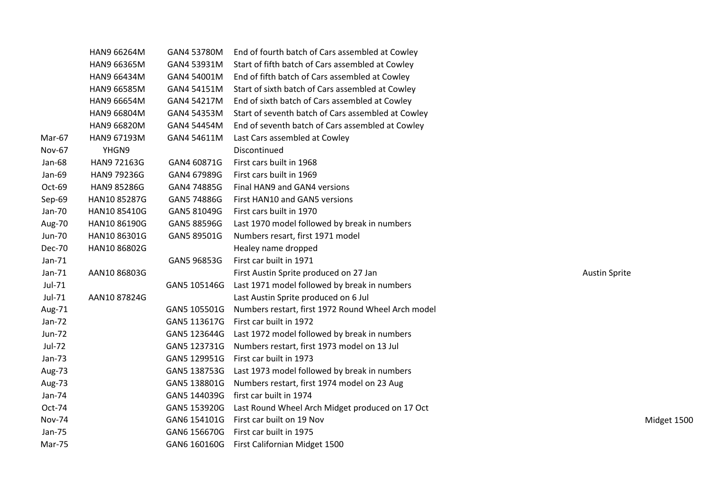|               | HAN9 66264M  | GAN4 53780M  | End of fourth batch of Cars assembled at Cowley    |                      |
|---------------|--------------|--------------|----------------------------------------------------|----------------------|
|               | HAN9 66365M  | GAN4 53931M  | Start of fifth batch of Cars assembled at Cowley   |                      |
|               | HAN9 66434M  | GAN4 54001M  | End of fifth batch of Cars assembled at Cowley     |                      |
|               | HAN9 66585M  | GAN4 54151M  | Start of sixth batch of Cars assembled at Cowley   |                      |
|               | HAN9 66654M  | GAN4 54217M  | End of sixth batch of Cars assembled at Cowley     |                      |
|               | HAN9 66804M  | GAN4 54353M  | Start of seventh batch of Cars assembled at Cowley |                      |
|               | HAN9 66820M  | GAN4 54454M  | End of seventh batch of Cars assembled at Cowley   |                      |
| Mar-67        | HAN9 67193M  | GAN4 54611M  | Last Cars assembled at Cowley                      |                      |
| <b>Nov-67</b> | YHGN9        |              | Discontinued                                       |                      |
| Jan-68        | HAN9 72163G  | GAN4 60871G  | First cars built in 1968                           |                      |
| Jan-69        | HAN9 79236G  | GAN4 67989G  | First cars built in 1969                           |                      |
| Oct-69        | HAN9 85286G  | GAN4 74885G  | Final HAN9 and GAN4 versions                       |                      |
| Sep-69        | HAN10 85287G | GAN5 74886G  | First HAN10 and GAN5 versions                      |                      |
| Jan-70        | HAN10 85410G | GAN5 81049G  | First cars built in 1970                           |                      |
| Aug-70        | HAN10 86190G | GAN5 88596G  | Last 1970 model followed by break in numbers       |                      |
| Jun-70        | HAN10 86301G | GAN5 89501G  | Numbers resart, first 1971 model                   |                      |
| <b>Dec-70</b> | HAN10 86802G |              | Healey name dropped                                |                      |
| Jan-71        |              | GAN5 96853G  | First car built in 1971                            |                      |
| Jan-71        | AAN10 86803G |              | First Austin Sprite produced on 27 Jan             | <b>Austin Sprite</b> |
| Jul-71        |              | GAN5 105146G | Last 1971 model followed by break in numbers       |                      |
| Jul-71        | AAN10 87824G |              | Last Austin Sprite produced on 6 Jul               |                      |
| Aug-71        |              | GAN5 105501G | Numbers restart, first 1972 Round Wheel Arch model |                      |
| Jan-72        |              | GAN5 113617G | First car built in 1972                            |                      |
| Jun-72        |              | GAN5 123644G | Last 1972 model followed by break in numbers       |                      |
| Jul-72        |              | GAN5 123731G | Numbers restart, first 1973 model on 13 Jul        |                      |
| Jan-73        |              | GAN5 129951G | First car built in 1973                            |                      |
| Aug-73        |              | GAN5 138753G | Last 1973 model followed by break in numbers       |                      |
| Aug-73        |              | GAN5 138801G | Numbers restart, first 1974 model on 23 Aug        |                      |
| Jan-74        |              | GAN5 144039G | first car built in 1974                            |                      |
| Oct-74        |              | GAN5 153920G | Last Round Wheel Arch Midget produced on 17 Oct    |                      |
| <b>Nov-74</b> |              | GAN6 154101G | First car built on 19 Nov                          | Midget 1500          |
| Jan-75        |              | GAN6 156670G | First car built in 1975                            |                      |
| Mar-75        |              | GAN6 160160G | First Californian Midget 1500                      |                      |